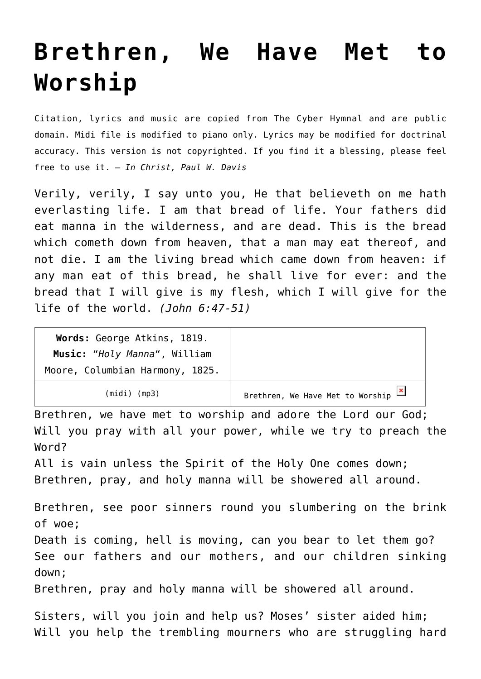## **[Brethren, We Have Met to](http://reproachofmen.org/hymns-and-music/brethren-we-have-met-to-worship/) [Worship](http://reproachofmen.org/hymns-and-music/brethren-we-have-met-to-worship/)**

Citation, lyrics and music are copied from [The Cyber Hymnal](http://www.hymntime.com/tch/index.htm) and are public domain. Midi file is modified to piano only. Lyrics may be modified for doctrinal accuracy. This version is not copyrighted. If you find it a blessing, please feel free to use it. — *In Christ, Paul W. Davis*

Verily, verily, I say unto you, He that believeth on me hath everlasting life. I am that bread of life. Your fathers did eat manna in the wilderness, and are dead. This is the bread which cometh down from heaven, that a man may eat thereof, and not die. I am the living bread which came down from heaven: if any man eat of this bread, he shall live for ever: and the bread that I will give is my flesh, which I will give for the life of the world. *(John 6:47-51)*

| Words: George Atkins, 1819.                                     |                                    |
|-----------------------------------------------------------------|------------------------------------|
| Music: "Holy Manna", William<br>Moore, Columbian Harmony, 1825. |                                    |
| (midi) (mp3)                                                    | Brethren, We Have Met to Worship X |

Brethren, we have met to worship and adore the Lord our God; Will you pray with all your power, while we try to preach the Word?

All is vain unless the Spirit of the Holy One comes down; Brethren, pray, and holy manna will be showered all around.

Brethren, see poor sinners round you slumbering on the brink of woe; Death is coming, hell is moving, can you bear to let them go? See our fathers and our mothers, and our children sinking down;

Brethren, pray and holy manna will be showered all around.

Sisters, will you join and help us? Moses' sister aided him; Will you help the trembling mourners who are struggling hard